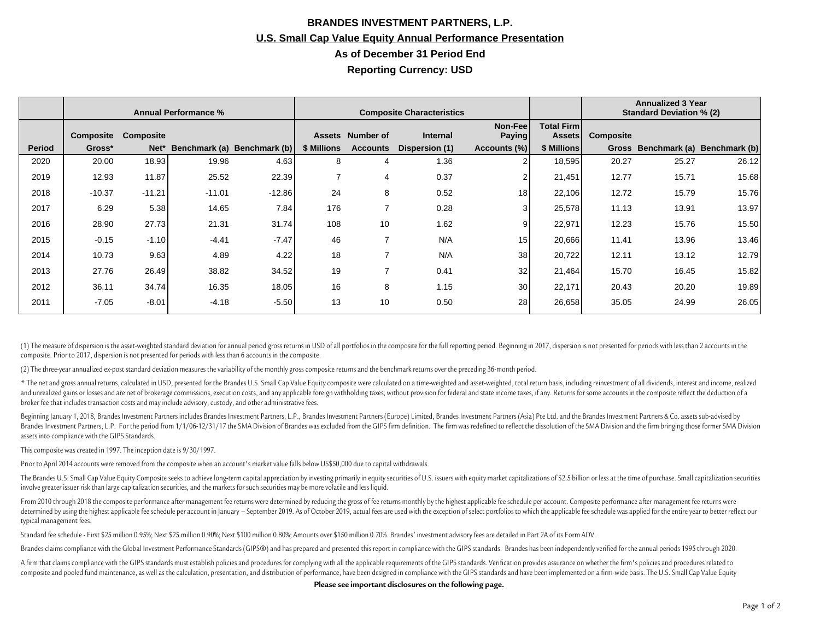## **BRANDES INVESTMENT PARTNERS, L.P. U.S. Small Cap Value Equity Annual Performance Presentation As of December 31 Period End Reporting Currency: USD**

|               | <b>Annual Performance %</b> |                  |          |                             | <b>Composite Characteristics</b> |                         |                 |                           |                               | <b>Annualized 3 Year</b><br><b>Standard Deviation % (2)</b> |                                   |       |
|---------------|-----------------------------|------------------|----------|-----------------------------|----------------------------------|-------------------------|-----------------|---------------------------|-------------------------------|-------------------------------------------------------------|-----------------------------------|-------|
|               | Composite                   | <b>Composite</b> |          |                             |                                  | <b>Assets Number of</b> | <b>Internal</b> | Non-Feel<br><b>Paying</b> | <b>Total Firm I</b><br>Assets | <b>Composite</b>                                            |                                   |       |
| <b>Period</b> | Gross*                      | Net*             |          | Benchmark (a) Benchmark (b) | \$ Millions                      | <b>Accounts</b>         | Dispersion (1)  | Accounts (%)              | \$ Millions                   |                                                             | Gross Benchmark (a) Benchmark (b) |       |
| 2020          | 20.00                       | 18.93            | 19.96    | 4.63                        | 8                                | 4                       | 1.36            |                           | 18,595                        | 20.27                                                       | 25.27                             | 26.12 |
| 2019          | 12.93                       | 11.87            | 25.52    | 22.39                       | $\overline{ }$                   | 4                       | 0.37            |                           | 21,451                        | 12.77                                                       | 15.71                             | 15.68 |
| 2018          | $-10.37$                    | $-11.21$         | $-11.01$ | $-12.86$                    | 24                               | 8                       | 0.52            | 18                        | 22,106                        | 12.72                                                       | 15.79                             | 15.76 |
| 2017          | 6.29                        | 5.38             | 14.65    | 7.84                        | 176                              |                         | 0.28            |                           | 25,578                        | 11.13                                                       | 13.91                             | 13.97 |
| 2016          | 28.90                       | 27.73            | 21.31    | 31.74                       | 108                              | 10                      | 1.62            |                           | 22,971                        | 12.23                                                       | 15.76                             | 15.50 |
| 2015          | $-0.15$                     | $-1.10$          | $-4.41$  | $-7.47$                     | 46                               | ⇁                       | N/A             | 15                        | 20,666                        | 11.41                                                       | 13.96                             | 13.46 |
| 2014          | 10.73                       | 9.63             | 4.89     | 4.22                        | 18                               |                         | N/A             | 38                        | 20,722                        | 12.11                                                       | 13.12                             | 12.79 |
| 2013          | 27.76                       | 26.49            | 38.82    | 34.52                       | 19                               |                         | 0.41            | 32                        | 21,464                        | 15.70                                                       | 16.45                             | 15.82 |
| 2012          | 36.11                       | 34.74            | 16.35    | 18.05                       | 16                               | 8                       | 1.15            | 30                        | 22,171                        | 20.43                                                       | 20.20                             | 19.89 |
| 2011          | $-7.05$                     | $-8.01$          | $-4.18$  | $-5.50$                     | 13                               | 10                      | 0.50            | 28                        | 26,658                        | 35.05                                                       | 24.99                             | 26.05 |

(1) The measure of dispersion is the asset-weighted standard deviation for annual period gross returns in USD of all portfolios in the composite for the full reporting period. Beginning in 2017, dispersion is not presented composite. Prior to 2017, dispersion is not presented for periods with less than 6 accounts in the composite.

(2) The three-year annualized ex-post standard deviation measures the variability of the monthly gross composite returns and the benchmark returns over the preceding 36-month period.

\* The net and gross annual returns, calculated in USD, presented for the Brandes U.S. Small Cap Value Equity composite were calculated on a time-weighted and asset-weighted, total return basis, including reinvestment of al and unrealized gains or losses and are net of brokerage commissions, execution costs, and any applicable foreign withholding taxes, without provision for federal and state income taxes, if any. Returns for some accounts in broker fee that includes transaction costs and may include advisory, custody, and other administrative fees.

Beginning January 1, 2018, Brandes Investment Partners includes Brandes Investment Partners, L.P., Brandes Investment Partners (Europe) Limited, Brandes Investment Partners (Asia) Pte Ltd. and the Brandes Investment Partne Brandes Investment Partners, L.P. For the period from 1/1/06-12/31/17 the SMA Division of Brandes was excluded from the GIPS firm definition. The firm was redefined to reflect the dissolution of the SMA Division and the fi assets into compliance with the GIPS Standards.

This composite was created in 1997. The inception date is 9/30/1997.

Prior to April 2014 accounts were removed from the composite when an account's market value falls below US\$50,000 due to capital withdrawals.

The Brandes U.S. Small Cap Value Equity Composite seeks to achieve long-term capital appreciation by investing primarily in equity securities of U.S. issuers with equity market capitalizations of \$2.5 billion or less at th involve greater issuer risk than large capitalization securities, and the markets for such securities may be more volatile and less liquid.

From 2010 through 2018 the composite performance after management fee returns were determined by reducing the gross of fee returns monthly by the highest applicable fee schedule per account. Composite performance after man determined by using the highest applicable fee schedule per account in January - September 2019. As of October 2019, actual fees are used with the exception of select portfolios to which the applicable fee schedule was app typical management fees.

Standard fee schedule - First \$25 million 0.95%; Next \$25 million 0.90%; Next \$100 million 0.80%; Amounts over \$150 million 0.70%. Brandes' investment advisory fees are detailed in Part 2A of its Form ADV.

Brandes claims compliance with the Global Investment Performance Standards (GIPS®) and has prepared and presented this report in compliance with the GIPS standards. Brandes has been independently verified for the annual pe

A firm that claims compliance with the GIPS standards must establish policies and procedures for complying with all the applicable requirements of the GIPS standards. Verification provides assurance on whether the firm's p composite and pooled fund maintenance, as well as the calculation, presentation, and distribution of performance, have been designed in compliance with the GIPS standards and have been implemented on a firm-wide basis. The

**Please see important disclosures on the following page.**